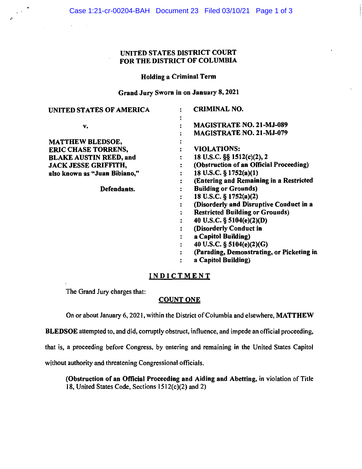## UNITED STATES DISTRICT COURT FOR THE DISTRICT OF COLUMBIA

#### Holding a Criminal Term

Grand Jury Sworn in on January 8, 2021

| UNITED STATES OF AMERICA      | <b>CRIMINAL NO.</b>                       |
|-------------------------------|-------------------------------------------|
| v.                            | <b>MAGISTRATE NO. 21-MJ-089</b>           |
|                               | <b>MAGISTRATE NO. 21-MJ-079</b>           |
| <b>MATTHEW BLEDSOE,</b>       |                                           |
| <b>ERIC CHASE TORRENS,</b>    | <b>VIOLATIONS:</b>                        |
| <b>BLAKE AUSTIN REED, and</b> | 18 U.S.C. §§ 1512(c)(2), 2                |
| <b>JACK JESSE GRIFFITH,</b>   | (Obstruction of an Official Proceeding)   |
| also known as "Juan Bibiano," | 18 U.S.C. $\S$ 1752(a)(1)                 |
|                               | (Entering and Remaining in a Restricted   |
| Defendants.                   | <b>Building or Grounds)</b>               |
|                               | 18 U.S.C. $\S$ 1752(a)(2)                 |
|                               | (Disorderly and Disruptive Conduct in a   |
|                               | <b>Restricted Building or Grounds)</b>    |
|                               | 40 U.S.C. $\S$ 5104(e)(2)(D)              |
|                               | (Disorderly Conduct in                    |
|                               | a Capitol Building)                       |
|                               | 40 U.S.C. § 5104(e)(2)(G)                 |
|                               | (Parading, Demonstrating, or Picketing in |
|                               | a Capitol Building)                       |

## **INDICTMENT**

The Grand Jury charges that:

### **COUNT ONE**

On or about January 6, 2021, within the District of Columbia and elsewhere, **MA TT HEW** 

**BLEDSOE** attempted to, and did, corruptly obstruct, influence, and impede an official proceeding,

that is, a proceeding before Congress, by entering and remaining in the United States Capitol

without authority and threatening Congressional officials.

**(Obstruction of an Official Proceeding and Aiding and Abetting,** in violation of Title 18, United States Code, Sections 1512(c)(2) and 2)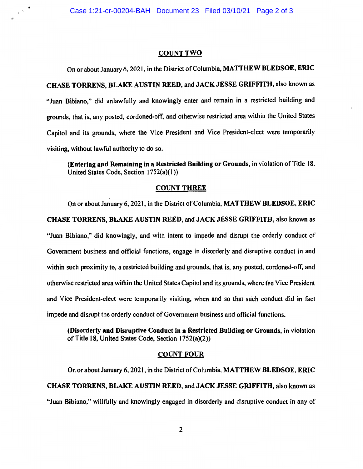..

#### **COUNT TWO**

On or about January 6, 2021, in the District of Columbia, **MATTHEW BLEDSOE, ERIC HASE TORRENS, BLAKE AUSTIN REED,** and **JACK JESSE GRIFFITH,** also known as **C** "Juan Bibiano," did unlawfully and knowingly enter and remain in a restricted building and grounds, that is, any posted, cordoned-off, and otherwise restricted area within the United States Capitol and its grounds, where the Vice President and Vice President-elect were temporarily visiting, without lawful authority to do so.

**(Entering and Remaining in a Restricted Building or Grounds,** in violation of Title 18, United States Code, Section I 752(a)( I))

#### **COUNT THREE**

On or about January 6, 2021, in the District of Columbia, **MATTHEW BLEDSOE, ERIC CHASE TORRENS, BLAKE AUSTIN REED,** and **JACK JESSE GRIFFITH,** also known as "Juan Bibiano," did knowingly, and with intent to impede and disrupt the orderly conduct of Government business and official functions, engage in disorderly and disruptive conduct in and within such proximity to, a restricted building and grounds, that is, any posted, cordoned-off, and otherwise restricted area within the United States Capitol and its grounds, where the Vice President and Vice President-elect were temporarily visiting, when and so that such conduct did in fact impede and disrupt the orderly conduct of Government business and official functions.

**(Disorderly and Disruptive Conduct in a Restricted Building or Grounds,** in violation of Title 18, United States Code, Section l 752(a)(2))

#### **COUNT FOUR**

On or about January 6, 2021, in the District of Columbia, **MATTHEW BLEDSOE, ERIC CHASE TORRENS, BLAKE AUSTIN REED,** and **JACK JESSE GRIFFITH,** also known as "Juan Bibiano," willfully and knowingly engaged in disorderly and disruptive conduct in any of